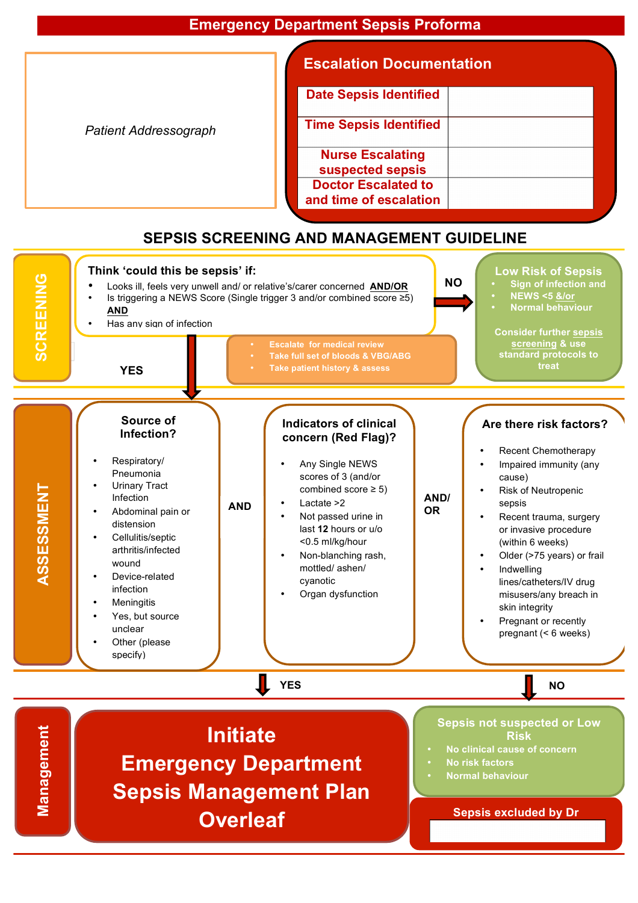|                              | <b>Escalation Documentation</b>                      |
|------------------------------|------------------------------------------------------|
|                              | <b>Date Sepsis Identified</b>                        |
| <b>Patient Addressograph</b> | <b>Time Sepsis Identified</b>                        |
|                              | <b>Nurse Escalating</b><br>suspected sepsis          |
|                              | <b>Doctor Escalated to</b><br>and time of escalation |

## **SEPSIS SCREENING AND MANAGEMENT GUIDELINE**